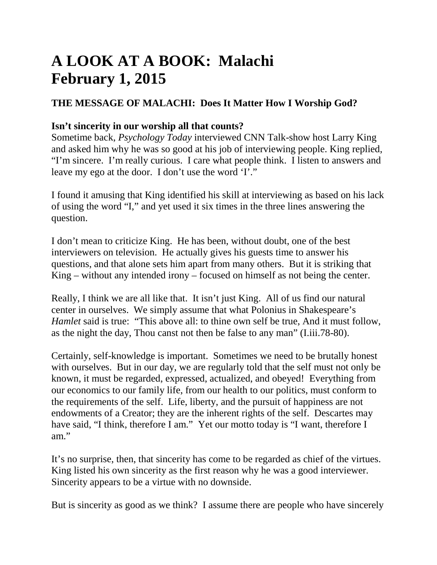# **A LOOK AT A BOOK: Malachi February 1, 2015**

# **THE MESSAGE OF MALACHI: Does It Matter How I Worship God?**

# **Isn't sincerity in our worship all that counts?**

Sometime back, *Psychology Today* interviewed CNN Talk-show host Larry King and asked him why he was so good at his job of interviewing people. King replied, "I'm sincere. I'm really curious. I care what people think. I listen to answers and leave my ego at the door. I don't use the word 'I'."

I found it amusing that King identified his skill at interviewing as based on his lack of using the word "I," and yet used it six times in the three lines answering the question.

I don't mean to criticize King. He has been, without doubt, one of the best interviewers on television. He actually gives his guests time to answer his questions, and that alone sets him apart from many others. But it is striking that King – without any intended irony – focused on himself as not being the center.

Really, I think we are all like that. It isn't just King. All of us find our natural center in ourselves. We simply assume that what Polonius in Shakespeare's *Hamlet* said is true: "This above all: to thine own self be true, And it must follow, as the night the day, Thou canst not then be false to any man" (I.iii.78-80).

Certainly, self-knowledge is important. Sometimes we need to be brutally honest with ourselves. But in our day, we are regularly told that the self must not only be known, it must be regarded, expressed, actualized, and obeyed! Everything from our economics to our family life, from our health to our politics, must conform to the requirements of the self. Life, liberty, and the pursuit of happiness are not endowments of a Creator; they are the inherent rights of the self. Descartes may have said, "I think, therefore I am." Yet our motto today is "I want, therefore I am."

It's no surprise, then, that sincerity has come to be regarded as chief of the virtues. King listed his own sincerity as the first reason why he was a good interviewer. Sincerity appears to be a virtue with no downside.

But is sincerity as good as we think? I assume there are people who have sincerely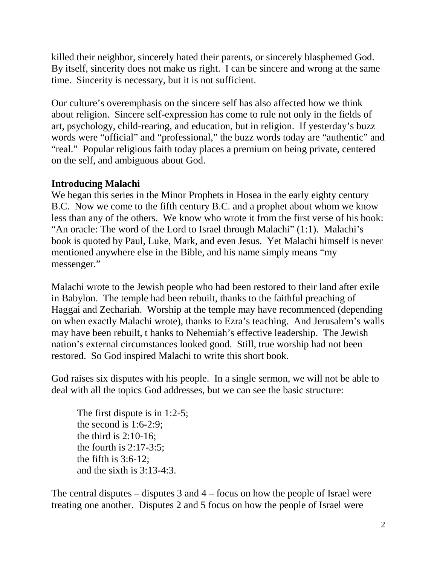killed their neighbor, sincerely hated their parents, or sincerely blasphemed God. By itself, sincerity does not make us right. I can be sincere and wrong at the same time. Sincerity is necessary, but it is not sufficient.

Our culture's overemphasis on the sincere self has also affected how we think about religion. Sincere self-expression has come to rule not only in the fields of art, psychology, child-rearing, and education, but in religion. If yesterday's buzz words were "official" and "professional," the buzz words today are "authentic" and "real." Popular religious faith today places a premium on being private, centered on the self, and ambiguous about God.

# **Introducing Malachi**

We began this series in the Minor Prophets in Hosea in the early eighty century B.C. Now we come to the fifth century B.C. and a prophet about whom we know less than any of the others. We know who wrote it from the first verse of his book: "An oracle: The word of the Lord to Israel through Malachi" (1:1). Malachi's book is quoted by Paul, Luke, Mark, and even Jesus. Yet Malachi himself is never mentioned anywhere else in the Bible, and his name simply means "my messenger."

Malachi wrote to the Jewish people who had been restored to their land after exile in Babylon. The temple had been rebuilt, thanks to the faithful preaching of Haggai and Zechariah. Worship at the temple may have recommenced (depending on when exactly Malachi wrote), thanks to Ezra's teaching. And Jerusalem's walls may have been rebuilt, t hanks to Nehemiah's effective leadership. The Jewish nation's external circumstances looked good. Still, true worship had not been restored. So God inspired Malachi to write this short book.

God raises six disputes with his people. In a single sermon, we will not be able to deal with all the topics God addresses, but we can see the basic structure:

The first dispute is in 1:2-5; the second is 1:6-2:9; the third is  $2:10-16$ : the fourth is 2:17-3:5; the fifth is  $3:6-12$ ; and the sixth is 3:13-4:3.

The central disputes – disputes 3 and 4 – focus on how the people of Israel were treating one another. Disputes 2 and 5 focus on how the people of Israel were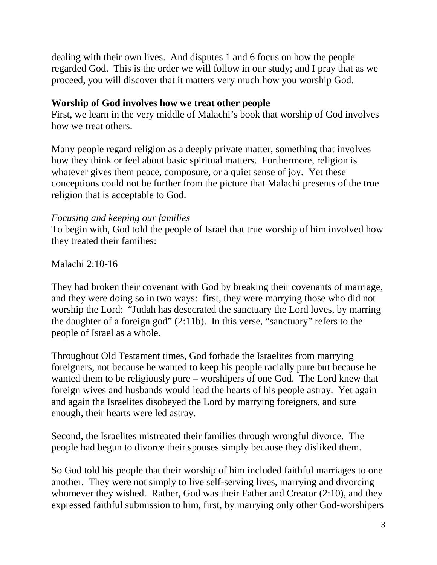dealing with their own lives. And disputes 1 and 6 focus on how the people regarded God. This is the order we will follow in our study; and I pray that as we proceed, you will discover that it matters very much how you worship God.

### **Worship of God involves how we treat other people**

First, we learn in the very middle of Malachi's book that worship of God involves how we treat others.

Many people regard religion as a deeply private matter, something that involves how they think or feel about basic spiritual matters. Furthermore, religion is whatever gives them peace, composure, or a quiet sense of joy. Yet these conceptions could not be further from the picture that Malachi presents of the true religion that is acceptable to God.

# *Focusing and keeping our families*

To begin with, God told the people of Israel that true worship of him involved how they treated their families:

#### Malachi 2:10-16

They had broken their covenant with God by breaking their covenants of marriage, and they were doing so in two ways: first, they were marrying those who did not worship the Lord: "Judah has desecrated the sanctuary the Lord loves, by marring the daughter of a foreign god" (2:11b). In this verse, "sanctuary" refers to the people of Israel as a whole.

Throughout Old Testament times, God forbade the Israelites from marrying foreigners, not because he wanted to keep his people racially pure but because he wanted them to be religiously pure – worshipers of one God. The Lord knew that foreign wives and husbands would lead the hearts of his people astray. Yet again and again the Israelites disobeyed the Lord by marrying foreigners, and sure enough, their hearts were led astray.

Second, the Israelites mistreated their families through wrongful divorce. The people had begun to divorce their spouses simply because they disliked them.

So God told his people that their worship of him included faithful marriages to one another. They were not simply to live self-serving lives, marrying and divorcing whomever they wished. Rather, God was their Father and Creator (2:10), and they expressed faithful submission to him, first, by marrying only other God-worshipers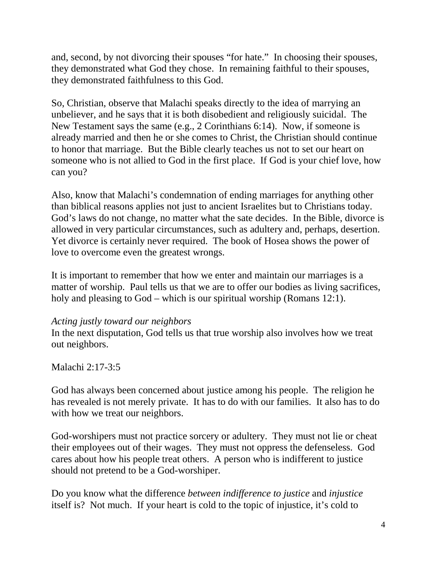and, second, by not divorcing their spouses "for hate." In choosing their spouses, they demonstrated what God they chose. In remaining faithful to their spouses, they demonstrated faithfulness to this God.

So, Christian, observe that Malachi speaks directly to the idea of marrying an unbeliever, and he says that it is both disobedient and religiously suicidal. The New Testament says the same (e.g., 2 Corinthians 6:14). Now, if someone is already married and then he or she comes to Christ, the Christian should continue to honor that marriage. But the Bible clearly teaches us not to set our heart on someone who is not allied to God in the first place. If God is your chief love, how can you?

Also, know that Malachi's condemnation of ending marriages for anything other than biblical reasons applies not just to ancient Israelites but to Christians today. God's laws do not change, no matter what the sate decides. In the Bible, divorce is allowed in very particular circumstances, such as adultery and, perhaps, desertion. Yet divorce is certainly never required. The book of Hosea shows the power of love to overcome even the greatest wrongs.

It is important to remember that how we enter and maintain our marriages is a matter of worship. Paul tells us that we are to offer our bodies as living sacrifices, holy and pleasing to God – which is our spiritual worship (Romans 12:1).

#### *Acting justly toward our neighbors*

In the next disputation, God tells us that true worship also involves how we treat out neighbors.

Malachi 2:17-3:5

God has always been concerned about justice among his people. The religion he has revealed is not merely private. It has to do with our families. It also has to do with how we treat our neighbors.

God-worshipers must not practice sorcery or adultery. They must not lie or cheat their employees out of their wages. They must not oppress the defenseless. God cares about how his people treat others. A person who is indifferent to justice should not pretend to be a God-worshiper.

Do you know what the difference *between indifference to justice* and *injustice* itself is? Not much. If your heart is cold to the topic of injustice, it's cold to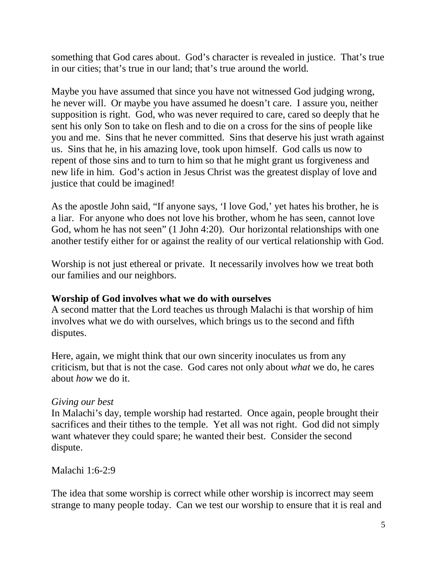something that God cares about. God's character is revealed in justice. That's true in our cities; that's true in our land; that's true around the world.

Maybe you have assumed that since you have not witnessed God judging wrong, he never will. Or maybe you have assumed he doesn't care. I assure you, neither supposition is right. God, who was never required to care, cared so deeply that he sent his only Son to take on flesh and to die on a cross for the sins of people like you and me. Sins that he never committed. Sins that deserve his just wrath against us. Sins that he, in his amazing love, took upon himself. God calls us now to repent of those sins and to turn to him so that he might grant us forgiveness and new life in him. God's action in Jesus Christ was the greatest display of love and justice that could be imagined!

As the apostle John said, "If anyone says, 'I love God,' yet hates his brother, he is a liar. For anyone who does not love his brother, whom he has seen, cannot love God, whom he has not seen" (1 John 4:20). Our horizontal relationships with one another testify either for or against the reality of our vertical relationship with God.

Worship is not just ethereal or private. It necessarily involves how we treat both our families and our neighbors.

#### **Worship of God involves what we do with ourselves**

A second matter that the Lord teaches us through Malachi is that worship of him involves what we do with ourselves, which brings us to the second and fifth disputes.

Here, again, we might think that our own sincerity inoculates us from any criticism, but that is not the case. God cares not only about *what* we do, he cares about *how* we do it.

#### *Giving our best*

In Malachi's day, temple worship had restarted. Once again, people brought their sacrifices and their tithes to the temple. Yet all was not right. God did not simply want whatever they could spare; he wanted their best. Consider the second dispute.

Malachi 1:6-2:9

The idea that some worship is correct while other worship is incorrect may seem strange to many people today. Can we test our worship to ensure that it is real and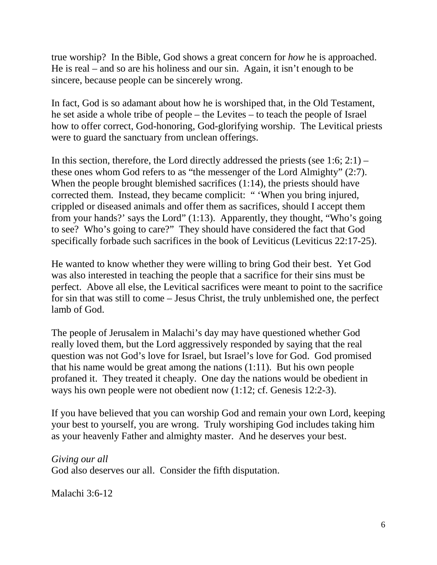true worship? In the Bible, God shows a great concern for *how* he is approached. He is real – and so are his holiness and our sin. Again, it isn't enough to be sincere, because people can be sincerely wrong.

In fact, God is so adamant about how he is worshiped that, in the Old Testament, he set aside a whole tribe of people – the Levites – to teach the people of Israel how to offer correct, God-honoring, God-glorifying worship. The Levitical priests were to guard the sanctuary from unclean offerings.

In this section, therefore, the Lord directly addressed the priests (see 1:6;  $2:1$ ) – these ones whom God refers to as "the messenger of the Lord Almighty" (2:7). When the people brought blemished sacrifices (1:14), the priests should have corrected them. Instead, they became complicit: " 'When you bring injured, crippled or diseased animals and offer them as sacrifices, should I accept them from your hands?' says the Lord" (1:13). Apparently, they thought, "Who's going to see? Who's going to care?" They should have considered the fact that God specifically forbade such sacrifices in the book of Leviticus (Leviticus 22:17-25).

He wanted to know whether they were willing to bring God their best. Yet God was also interested in teaching the people that a sacrifice for their sins must be perfect. Above all else, the Levitical sacrifices were meant to point to the sacrifice for sin that was still to come – Jesus Christ, the truly unblemished one, the perfect lamb of God.

The people of Jerusalem in Malachi's day may have questioned whether God really loved them, but the Lord aggressively responded by saying that the real question was not God's love for Israel, but Israel's love for God. God promised that his name would be great among the nations (1:11). But his own people profaned it. They treated it cheaply. One day the nations would be obedient in ways his own people were not obedient now (1:12; cf. Genesis 12:2-3).

If you have believed that you can worship God and remain your own Lord, keeping your best to yourself, you are wrong. Truly worshiping God includes taking him as your heavenly Father and almighty master. And he deserves your best.

*Giving our all* God also deserves our all. Consider the fifth disputation.

Malachi 3:6-12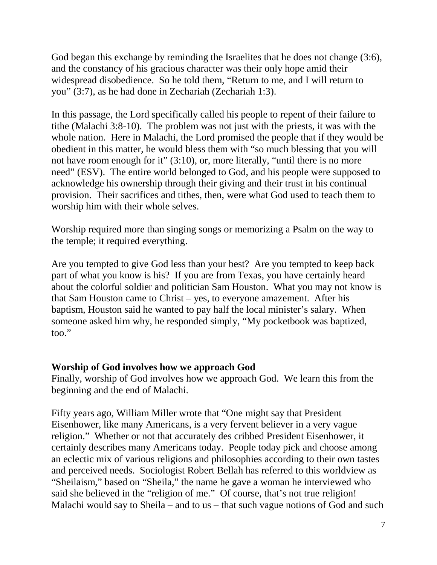God began this exchange by reminding the Israelites that he does not change (3:6), and the constancy of his gracious character was their only hope amid their widespread disobedience. So he told them, "Return to me, and I will return to you" (3:7), as he had done in Zechariah (Zechariah 1:3).

In this passage, the Lord specifically called his people to repent of their failure to tithe (Malachi 3:8-10). The problem was not just with the priests, it was with the whole nation. Here in Malachi, the Lord promised the people that if they would be obedient in this matter, he would bless them with "so much blessing that you will not have room enough for it" (3:10), or, more literally, "until there is no more need" (ESV). The entire world belonged to God, and his people were supposed to acknowledge his ownership through their giving and their trust in his continual provision. Their sacrifices and tithes, then, were what God used to teach them to worship him with their whole selves.

Worship required more than singing songs or memorizing a Psalm on the way to the temple; it required everything.

Are you tempted to give God less than your best? Are you tempted to keep back part of what you know is his? If you are from Texas, you have certainly heard about the colorful soldier and politician Sam Houston. What you may not know is that Sam Houston came to Christ – yes, to everyone amazement. After his baptism, Houston said he wanted to pay half the local minister's salary. When someone asked him why, he responded simply, "My pocketbook was baptized, too."

#### **Worship of God involves how we approach God**

Finally, worship of God involves how we approach God. We learn this from the beginning and the end of Malachi.

Fifty years ago, William Miller wrote that "One might say that President Eisenhower, like many Americans, is a very fervent believer in a very vague religion." Whether or not that accurately des cribbed President Eisenhower, it certainly describes many Americans today. People today pick and choose among an eclectic mix of various religions and philosophies according to their own tastes and perceived needs. Sociologist Robert Bellah has referred to this worldview as "Sheilaism," based on "Sheila," the name he gave a woman he interviewed who said she believed in the "religion of me." Of course, that's not true religion! Malachi would say to Sheila – and to us – that such vague notions of God and such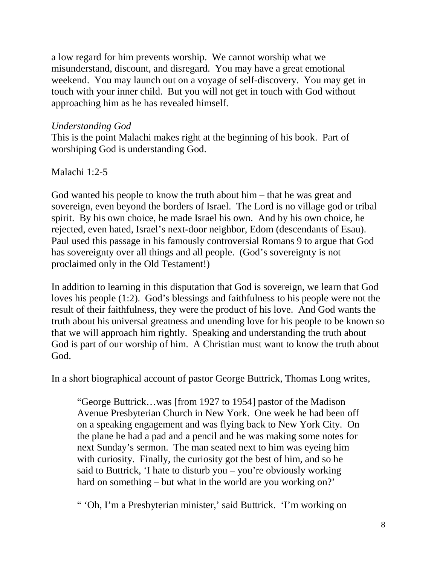a low regard for him prevents worship. We cannot worship what we misunderstand, discount, and disregard. You may have a great emotional weekend. You may launch out on a voyage of self-discovery. You may get in touch with your inner child. But you will not get in touch with God without approaching him as he has revealed himself.

#### *Understanding God*

This is the point Malachi makes right at the beginning of his book. Part of worshiping God is understanding God.

Malachi 1:2-5

God wanted his people to know the truth about him – that he was great and sovereign, even beyond the borders of Israel. The Lord is no village god or tribal spirit. By his own choice, he made Israel his own. And by his own choice, he rejected, even hated, Israel's next-door neighbor, Edom (descendants of Esau). Paul used this passage in his famously controversial Romans 9 to argue that God has sovereignty over all things and all people. (God's sovereignty is not proclaimed only in the Old Testament!)

In addition to learning in this disputation that God is sovereign, we learn that God loves his people (1:2). God's blessings and faithfulness to his people were not the result of their faithfulness, they were the product of his love. And God wants the truth about his universal greatness and unending love for his people to be known so that we will approach him rightly. Speaking and understanding the truth about God is part of our worship of him. A Christian must want to know the truth about God.

In a short biographical account of pastor George Buttrick, Thomas Long writes,

"George Buttrick…was [from 1927 to 1954] pastor of the Madison Avenue Presbyterian Church in New York. One week he had been off on a speaking engagement and was flying back to New York City. On the plane he had a pad and a pencil and he was making some notes for next Sunday's sermon. The man seated next to him was eyeing him with curiosity. Finally, the curiosity got the best of him, and so he said to Buttrick, 'I hate to disturb you – you're obviously working hard on something – but what in the world are you working on?'

" 'Oh, I'm a Presbyterian minister,' said Buttrick. 'I'm working on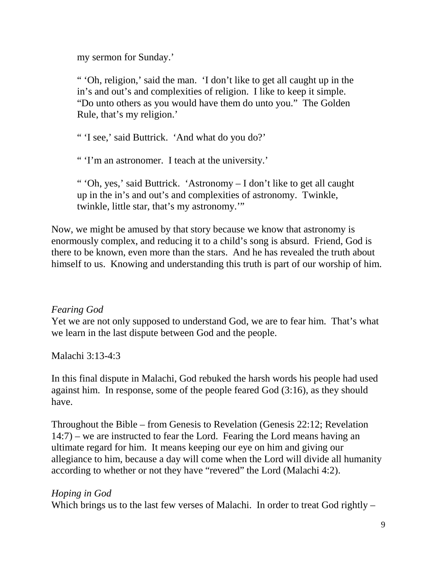my sermon for Sunday.'

" 'Oh, religion,' said the man. 'I don't like to get all caught up in the in's and out's and complexities of religion. I like to keep it simple. "Do unto others as you would have them do unto you." The Golden Rule, that's my religion.'

" 'I see,' said Buttrick. 'And what do you do?'

" 'I'm an astronomer. I teach at the university.'

" 'Oh, yes,' said Buttrick. 'Astronomy – I don't like to get all caught up in the in's and out's and complexities of astronomy. Twinkle, twinkle, little star, that's my astronomy.'"

Now, we might be amused by that story because we know that astronomy is enormously complex, and reducing it to a child's song is absurd. Friend, God is there to be known, even more than the stars. And he has revealed the truth about himself to us. Knowing and understanding this truth is part of our worship of him.

# *Fearing God*

Yet we are not only supposed to understand God, we are to fear him. That's what we learn in the last dispute between God and the people.

Malachi 3:13-4:3

In this final dispute in Malachi, God rebuked the harsh words his people had used against him. In response, some of the people feared God (3:16), as they should have.

Throughout the Bible – from Genesis to Revelation (Genesis 22:12; Revelation 14:7) – we are instructed to fear the Lord. Fearing the Lord means having an ultimate regard for him. It means keeping our eye on him and giving our allegiance to him, because a day will come when the Lord will divide all humanity according to whether or not they have "revered" the Lord (Malachi 4:2).

# *Hoping in God*

Which brings us to the last few verses of Malachi. In order to treat God rightly –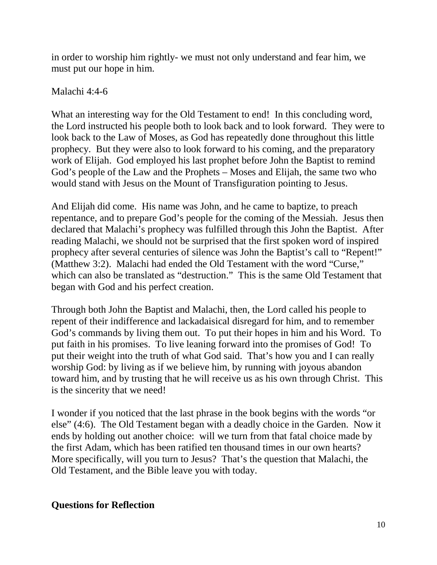in order to worship him rightly- we must not only understand and fear him, we must put our hope in him.

#### Malachi 4:4-6

What an interesting way for the Old Testament to end! In this concluding word, the Lord instructed his people both to look back and to look forward. They were to look back to the Law of Moses, as God has repeatedly done throughout this little prophecy. But they were also to look forward to his coming, and the preparatory work of Elijah. God employed his last prophet before John the Baptist to remind God's people of the Law and the Prophets – Moses and Elijah, the same two who would stand with Jesus on the Mount of Transfiguration pointing to Jesus.

And Elijah did come. His name was John, and he came to baptize, to preach repentance, and to prepare God's people for the coming of the Messiah. Jesus then declared that Malachi's prophecy was fulfilled through this John the Baptist. After reading Malachi, we should not be surprised that the first spoken word of inspired prophecy after several centuries of silence was John the Baptist's call to "Repent!" (Matthew 3:2). Malachi had ended the Old Testament with the word "Curse," which can also be translated as "destruction." This is the same Old Testament that began with God and his perfect creation.

Through both John the Baptist and Malachi, then, the Lord called his people to repent of their indifference and lackadaisical disregard for him, and to remember God's commands by living them out. To put their hopes in him and his Word. To put faith in his promises. To live leaning forward into the promises of God! To put their weight into the truth of what God said. That's how you and I can really worship God: by living as if we believe him, by running with joyous abandon toward him, and by trusting that he will receive us as his own through Christ. This is the sincerity that we need!

I wonder if you noticed that the last phrase in the book begins with the words "or else" (4:6). The Old Testament began with a deadly choice in the Garden. Now it ends by holding out another choice: will we turn from that fatal choice made by the first Adam, which has been ratified ten thousand times in our own hearts? More specifically, will you turn to Jesus? That's the question that Malachi, the Old Testament, and the Bible leave you with today.

#### **Questions for Reflection**